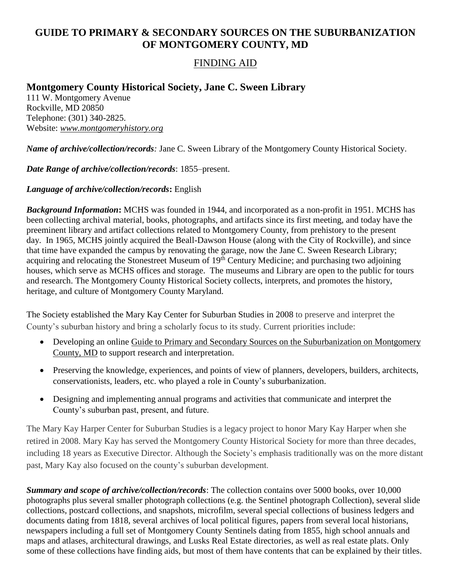# **GUIDE TO PRIMARY & SECONDARY SOURCES ON THE SUBURBANIZATION OF MONTGOMERY COUNTY, MD**

## FINDING AID

## **Montgomery County Historical Society, Jane C. Sween Library**

111 W. Montgomery Avenue Rockville, MD 20850 Telephone: (301) 340-2825. Website: *www.montgomeryhistory.org*

*Name of archive/collection/records:* Jane C. Sween Library of the Montgomery County Historical Society.

*Date Range of archive/collection/records*: 1855–present.

#### *Language of archive/collection/records***:** English

*Background Information***:** MCHS was founded in 1944, and incorporated as a non-profit in 1951. MCHS has been collecting archival material, books, photographs, and artifacts since its first meeting, and today have the preeminent library and artifact collections related to Montgomery County, from prehistory to the present day. In 1965, MCHS jointly acquired the Beall-Dawson House (along with the City of Rockville), and since that time have expanded the campus by renovating the garage, now the Jane C. Sween Research Library; acquiring and relocating the Stonestreet Museum of 19<sup>th</sup> Century Medicine; and purchasing two adjoining houses, which serve as MCHS offices and storage. The museums and Library are open to the public for tours and research. The Montgomery County Historical Society collects, interprets, and promotes the history, heritage, and culture of Montgomery County Maryland.

The Society established the Mary Kay Center for Suburban Studies in 2008 to preserve and interpret the County's suburban history and bring a scholarly focus to its study. Current priorities include:

- Developing an online Guide to Primary and Secondary Sources on the Suburbanization on Montgomery County*,* MD to support research and interpretation.
- Preserving the knowledge, experiences, and points of view of planners, developers, builders, architects, conservationists, leaders, etc. who played a role in County's suburbanization.
- Designing and implementing annual programs and activities that communicate and interpret the County's suburban past, present, and future.

The Mary Kay Harper Center for Suburban Studies is a legacy project to honor Mary Kay Harper when she retired in 2008. Mary Kay has served the Montgomery County Historical Society for more than three decades, including 18 years as Executive Director. Although the Society's emphasis traditionally was on the more distant past, Mary Kay also focused on the county's suburban development.

*Summary and scope of archive/collection/records*: The collection contains over 5000 books, over 10,000 photographs plus several smaller photograph collections (e.g. the Sentinel photograph Collection), several slide collections, postcard collections, and snapshots, microfilm, several special collections of business ledgers and documents dating from 1818, several archives of local political figures, papers from several local historians, newspapers including a full set of Montgomery County Sentinels dating from 1855, high school annuals and maps and atlases, architectural drawings, and Lusks Real Estate directories, as well as real estate plats. Only some of these collections have finding aids, but most of them have contents that can be explained by their titles.